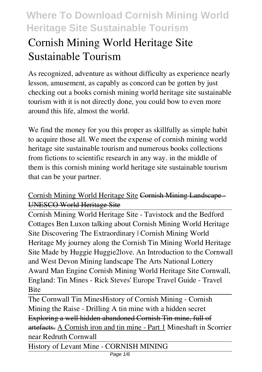# **Cornish Mining World Heritage Site Sustainable Tourism**

As recognized, adventure as without difficulty as experience nearly lesson, amusement, as capably as concord can be gotten by just checking out a books **cornish mining world heritage site sustainable tourism** with it is not directly done, you could bow to even more around this life, almost the world.

We find the money for you this proper as skillfully as simple habit to acquire those all. We meet the expense of cornish mining world heritage site sustainable tourism and numerous books collections from fictions to scientific research in any way. in the middle of them is this cornish mining world heritage site sustainable tourism that can be your partner.

#### Cornish Mining World Heritage Site Cornish Mining Landscape - UNESCO World Heritage Site

Cornish Mining World Heritage Site - Tavistock and the Bedford Cottages Ben Luxon talking about Cornish Mining World Heritage Site Discovering The Extraordinary | Cornish Mining World Heritage *My journey along the Cornish Tin Mining World Heritage Site Made by Huggie Huggie2love. An Introduction to the Cornwall and West Devon Mining landscape* The Arts National Lottery Award Man Engine Cornish Mining World Heritage Site Cornwall, England: Tin Mines - Rick Steves' Europe Travel Guide - Travel **Bite** 

The Cornwall Tin Mines*History of Cornish Mining - Cornish Mining the Raise - Drilling* A tin mine with a hidden secret Exploring a well hidden abandoned Cornish Tin mine, full of artefacts. A Cornish iron and tin mine - Part 1 *Mineshaft in Scorrier near Redruth Cornwall*

History of Levant Mine - CORNISH MINING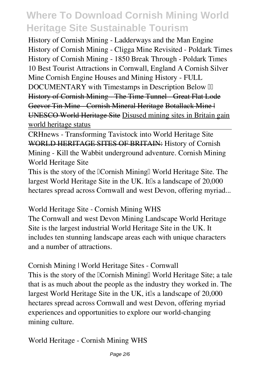History of Cornish Mining - Ladderways and the Man Engine *History of Cornish Mining - Cligga Mine Revisited - Poldark Times* **History of Cornish Mining - 1850 Break Through - Poldark Times 10 Best Tourist Attractions in Cornwall, England** *A Cornish Silver Mine Cornish Engine Houses and Mining History - FULL* **DOCUMENTARY** with Timestamps in Description Below *II* History of Cornish Mining The Time Tunnel Great Flat Lode Geevor Tin Mine - Cornish Mineral Heritage Botallack Mine | UNESCO World Heritage Site Disused mining sites in Britain gain world heritage status

CRHnews - Transforming Tavistock into World Heritage Site WORLD HERITAGE SITES OF BRITAIN: *History of Cornish Mining - Kill the Wabbit underground adventure. Cornish Mining World Heritage Site*

This is the story of the  $\alpha$  Cornish Mining $\alpha$  World Heritage Site. The largest World Heritage Site in the UK. It the a landscape of 20,000 hectares spread across Cornwall and west Devon, offering myriad...

*World Heritage Site - Cornish Mining WHS*

The Cornwall and west Devon Mining Landscape World Heritage Site is the largest industrial World Heritage Site in the UK. It includes ten stunning landscape areas each with unique characters and a number of attractions.

*Cornish Mining | World Heritage Sites - Cornwall* This is the story of the *Cornish Mining* World Heritage Site; a tale that is as much about the people as the industry they worked in. The largest World Heritage Site in the UK, it a landscape of 20,000 hectares spread across Cornwall and west Devon, offering myriad experiences and opportunities to explore our world-changing mining culture.

*World Heritage - Cornish Mining WHS*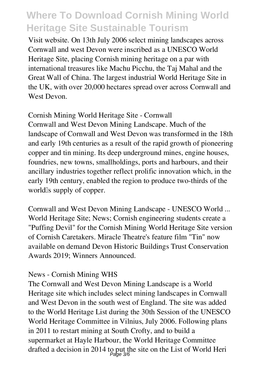Visit website. On 13th July 2006 select mining landscapes across Cornwall and west Devon were inscribed as a UNESCO World Heritage Site, placing Cornish mining heritage on a par with international treasures like Machu Picchu, the Taj Mahal and the Great Wall of China. The largest industrial World Heritage Site in the UK, with over 20,000 hectares spread over across Cornwall and West Devon.

*Cornish Mining World Heritage Site - Cornwall* Cornwall and West Devon Mining Landscape. Much of the landscape of Cornwall and West Devon was transformed in the 18th and early 19th centuries as a result of the rapid growth of pioneering copper and tin mining. Its deep underground mines, engine houses, foundries, new towns, smallholdings, ports and harbours, and their ancillary industries together reflect prolific innovation which, in the early 19th century, enabled the region to produce two-thirds of the world<sup>Is</sup> supply of copper.

*Cornwall and West Devon Mining Landscape - UNESCO World ...* World Heritage Site; News; Cornish engineering students create a "Puffing Devil" for the Cornish Mining World Heritage Site version of Cornish Caretakers. Miracle Theatre's feature film "Tin" now available on demand Devon Historic Buildings Trust Conservation Awards 2019; Winners Announced.

#### *News - Cornish Mining WHS*

The Cornwall and West Devon Mining Landscape is a World Heritage site which includes select mining landscapes in Cornwall and West Devon in the south west of England. The site was added to the World Heritage List during the 30th Session of the UNESCO World Heritage Committee in Vilnius, July 2006. Following plans in 2011 to restart mining at South Crofty, and to build a supermarket at Hayle Harbour, the World Heritage Committee drafted a decision in 2014 to put the site on the List of World Heri Page 3/6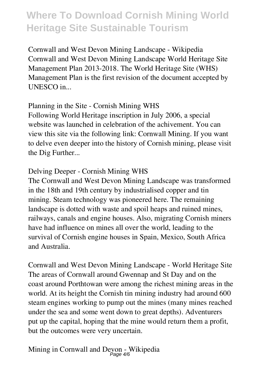*Cornwall and West Devon Mining Landscape - Wikipedia* Cornwall and West Devon Mining Landscape World Heritage Site Management Plan 2013-2018. The World Heritage Site (WHS) Management Plan is the first revision of the document accepted by UNESCO in...

#### *Planning in the Site - Cornish Mining WHS*

Following World Heritage inscription in July 2006, a special website was launched in celebration of the achivement. You can view this site via the following link: Cornwall Mining. If you want to delve even deeper into the history of Cornish mining, please visit the Dig Further...

#### *Delving Deeper - Cornish Mining WHS*

The Cornwall and West Devon Mining Landscape was transformed in the 18th and 19th century by industrialised copper and tin mining. Steam technology was pioneered here. The remaining landscape is dotted with waste and spoil heaps and ruined mines, railways, canals and engine houses. Also, migrating Cornish miners have had influence on mines all over the world, leading to the survival of Cornish engine houses in Spain, Mexico, South Africa and Australia.

*Cornwall and West Devon Mining Landscape - World Heritage Site* The areas of Cornwall around Gwennap and St Day and on the coast around Porthtowan were among the richest mining areas in the world. At its height the Cornish tin mining industry had around 600 steam engines working to pump out the mines (many mines reached under the sea and some went down to great depths). Adventurers put up the capital, hoping that the mine would return them a profit, but the outcomes were very uncertain.

*Mining in Cornwall and Devon - Wikipedia* Page 4/6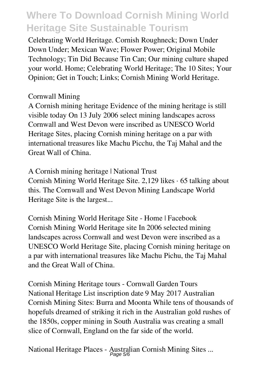Celebrating World Heritage. Cornish Roughneck; Down Under Down Under; Mexican Wave; Flower Power; Original Mobile Technology; Tin Did Because Tin Can; Our mining culture shaped your world. Home; Celebrating World Heritage; The 10 Sites; Your Opinion; Get in Touch; Links; Cornish Mining World Heritage.

#### *Cornwall Mining*

A Cornish mining heritage Evidence of the mining heritage is still visible today On 13 July 2006 select mining landscapes across Cornwall and West Devon were inscribed as UNESCO World Heritage Sites, placing Cornish mining heritage on a par with international treasures like Machu Picchu, the Taj Mahal and the Great Wall of China.

*A Cornish mining heritage | National Trust* Cornish Mining World Heritage Site. 2,129 likes · 65 talking about this. The Cornwall and West Devon Mining Landscape World Heritage Site is the largest...

*Cornish Mining World Heritage Site - Home | Facebook* Cornish Mining World Heritage site In 2006 selected mining landscapes across Cornwall and west Devon were inscribed as a UNESCO World Heritage Site, placing Cornish mining heritage on a par with international treasures like Machu Pichu, the Taj Mahal and the Great Wall of China.

*Cornish Mining Heritage tours - Cornwall Garden Tours* National Heritage List inscription date 9 May 2017 Australian Cornish Mining Sites: Burra and Moonta While tens of thousands of hopefuls dreamed of striking it rich in the Australian gold rushes of the 1850s, copper mining in South Australia was creating a small slice of Cornwall, England on the far side of the world.

*National Heritage Places - Australian Cornish Mining Sites ...* Page 5/6